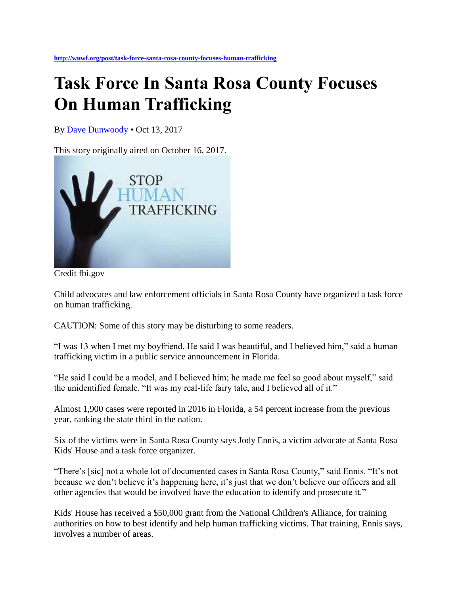**<http://wuwf.org/post/task-force-santa-rosa-county-focuses-human-trafficking>**

## **Task Force In Santa Rosa County Focuses On Human Trafficking**

By [Dave Dunwoody](http://wuwf.org/people/dave-dunwoody) *•* Oct 13, 2017

This story originally aired on October 16, 2017.



Credit fbi.gov

Child advocates and law enforcement officials in Santa Rosa County have organized a task force on human trafficking.

CAUTION: Some of this story may be disturbing to some readers.

"I was 13 when I met my boyfriend. He said I was beautiful, and I believed him," said a human trafficking victim in a public service announcement in Florida.

"He said I could be a model, and I believed him; he made me feel so good about myself," said the unidentified female. "It was my real-life fairy tale, and I believed all of it."

Almost 1,900 cases were reported in 2016 in Florida, a 54 percent increase from the previous year, ranking the state third in the nation.

Six of the victims were in Santa Rosa County says Jody Ennis, a victim advocate at Santa Rosa Kids' House and a task force organizer.

"There's [sic] not a whole lot of documented cases in Santa Rosa County," said Ennis. "It's not because we don't believe it's happening here, it's just that we don't believe our officers and all other agencies that would be involved have the education to identify and prosecute it."

Kids' House has received a \$50,000 grant from the National Children's Alliance, for training authorities on how to best identify and help human trafficking victims. That training, Ennis says, involves a number of areas.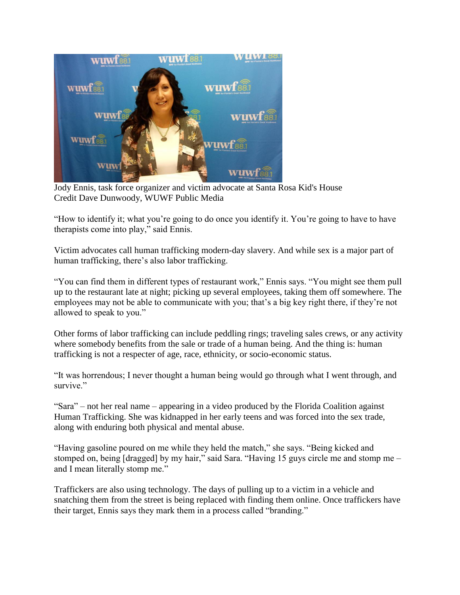

Jody Ennis, task force organizer and victim advocate at Santa Rosa Kid's House Credit Dave Dunwoody, WUWF Public Media

"How to identify it; what you're going to do once you identify it. You're going to have to have therapists come into play," said Ennis.

Victim advocates call human trafficking modern-day slavery. And while sex is a major part of human trafficking, there's also labor trafficking.

"You can find them in different types of restaurant work," Ennis says. "You might see them pull up to the restaurant late at night; picking up several employees, taking them off somewhere. The employees may not be able to communicate with you; that's a big key right there, if they're not allowed to speak to you."

Other forms of labor trafficking can include peddling rings; traveling sales crews, or any activity where somebody benefits from the sale or trade of a human being. And the thing is: human trafficking is not a respecter of age, race, ethnicity, or socio-economic status.

"It was horrendous; I never thought a human being would go through what I went through, and survive."

"Sara" – not her real name – appearing in a video produced by the Florida Coalition against Human Trafficking. She was kidnapped in her early teens and was forced into the sex trade, along with enduring both physical and mental abuse.

"Having gasoline poured on me while they held the match," she says. "Being kicked and stomped on, being [dragged] by my hair," said Sara. "Having 15 guys circle me and stomp me – and I mean literally stomp me."

Traffickers are also using technology. The days of pulling up to a victim in a vehicle and snatching them from the street is being replaced with finding them online. Once traffickers have their target, Ennis says they mark them in a process called "branding."